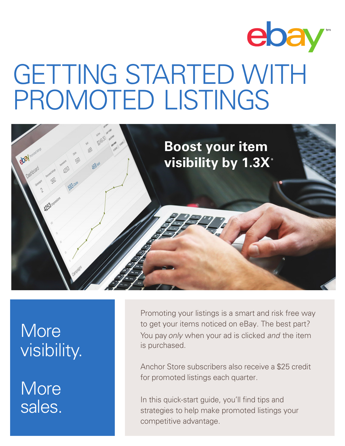



# **More** visibility.

**More** sales.

Promoting your listings is a smart and risk free way to get your items noticed on eBay. The best part? You pay*only* when your ad is clicked *and* the item is purchased.

Anchor Store subscribers also receive a \$25 credit for promoted listings each quarter.

In this quick-start guide, you'll find tips and strategies to help make promoted listings your competitive advantage.